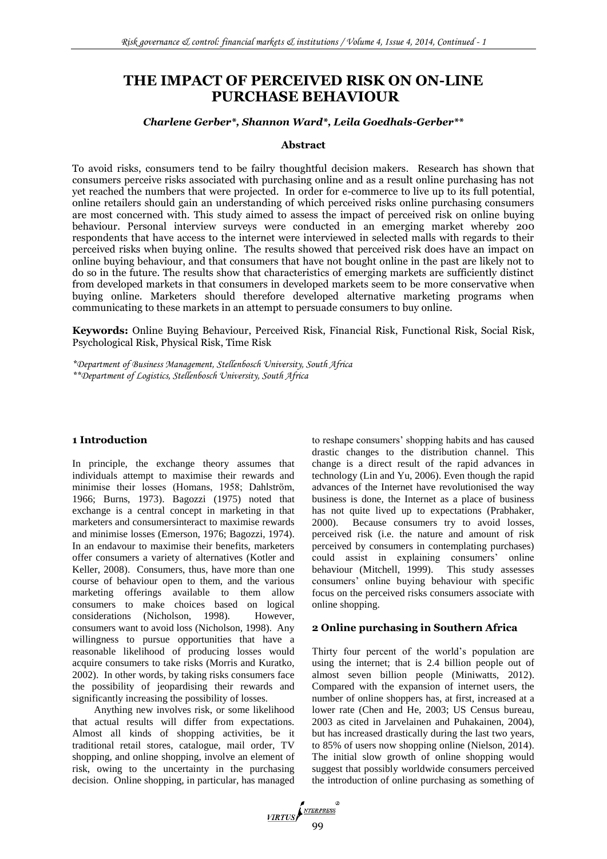# **THE IMPACT OF PERCEIVED RISK ON ON-LINE PURCHASE BEHAVIOUR**

#### *Charlene Gerber\*, Shannon Ward\*, Leila Goedhals-Gerber\*\**

#### **Abstract**

To avoid risks, consumers tend to be failry thoughtful decision makers. Research has shown that consumers perceive risks associated with purchasing online and as a result online purchasing has not yet reached the numbers that were projected. In order for e-commerce to live up to its full potential, online retailers should gain an understanding of which perceived risks online purchasing consumers are most concerned with. This study aimed to assess the impact of perceived risk on online buying behaviour. Personal interview surveys were conducted in an emerging market whereby 200 respondents that have access to the internet were interviewed in selected malls with regards to their perceived risks when buying online. The results showed that perceived risk does have an impact on online buying behaviour, and that consumers that have not bought online in the past are likely not to do so in the future. The results show that characteristics of emerging markets are sufficiently distinct from developed markets in that consumers in developed markets seem to be more conservative when buying online. Marketers should therefore developed alternative marketing programs when communicating to these markets in an attempt to persuade consumers to buy online.

**Keywords:** Online Buying Behaviour, Perceived Risk, Financial Risk, Functional Risk, Social Risk, Psychological Risk, Physical Risk, Time Risk

*\*Department of Business Management, Stellenbosch University, South Africa \*\*Department of Logistics, Stellenbosch University, South Africa*

# **1 Introduction**

In principle, the exchange theory assumes that individuals attempt to maximise their rewards and minimise their losses (Homans, 1958; Dahlström, 1966; Burns, 1973). Bagozzi (1975) noted that exchange is a central concept in marketing in that marketers and consumersinteract to maximise rewards and minimise losses (Emerson, 1976; Bagozzi, 1974). In an endavour to maximise their benefits, marketers offer consumers a variety of alternatives (Kotler and Keller, 2008). Consumers, thus, have more than one course of behaviour open to them, and the various marketing offerings available to them allow consumers to make choices based on logical considerations (Nicholson, 1998). However, consumers want to avoid loss (Nicholson, 1998). Any willingness to pursue opportunities that have a reasonable likelihood of producing losses would acquire consumers to take risks (Morris and Kuratko, 2002). In other words, by taking risks consumers face the possibility of jeopardising their rewards and significantly increasing the possibility of losses.

Anything new involves risk, or some likelihood that actual results will differ from expectations. Almost all kinds of shopping activities, be it traditional retail stores, catalogue, mail order, TV shopping, and online shopping, involve an element of risk, owing to the uncertainty in the purchasing decision. Online shopping, in particular, has managed to reshape consumers' shopping habits and has caused drastic changes to the distribution channel. This change is a direct result of the rapid advances in technology (Lin and Yu, 2006). Even though the rapid advances of the Internet have revolutionised the way business is done, the Internet as a place of business has not quite lived up to expectations (Prabhaker, 2000). Because consumers try to avoid losses, perceived risk (i.e. the nature and amount of risk perceived by consumers in contemplating purchases) could assist in explaining consumers' online behaviour (Mitchell, 1999). This study assesses consumers' online buying behaviour with specific focus on the perceived risks consumers associate with online shopping.

# **2 Online purchasing in Southern Africa**

Thirty four percent of the world's population are using the internet; that is 2.4 billion people out of almost seven billion people (Miniwatts, 2012). Compared with the expansion of internet users, the number of online shoppers has, at first, increased at a lower rate (Chen and He, 2003; US Census bureau, 2003 as cited in Jarvelainen and Puhakainen, 2004), but has increased drastically during the last two years, to 85% of users now shopping online (Nielson, 2014). The initial slow growth of online shopping would suggest that possibly worldwide consumers perceived the introduction of online purchasing as something of

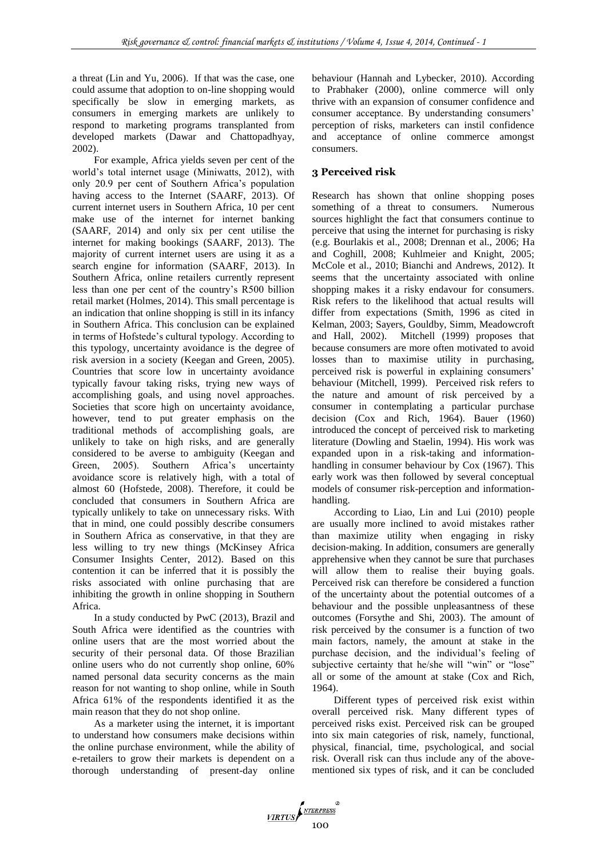a threat (Lin and Yu, 2006). If that was the case, one could assume that adoption to on-line shopping would specifically be slow in emerging markets, as consumers in emerging markets are unlikely to respond to marketing programs transplanted from developed markets (Dawar and Chattopadhyay, 2002).

For example, Africa yields seven per cent of the world's total internet usage (Miniwatts, 2012), with only 20.9 per cent of Southern Africa's population having access to the Internet (SAARF, 2013). Of current internet users in Southern Africa, 10 per cent make use of the internet for internet banking (SAARF, 2014) and only six per cent utilise the internet for making bookings (SAARF, 2013). The majority of current internet users are using it as a search engine for information (SAARF, 2013). In Southern Africa, online retailers currently represent less than one per cent of the country's R500 billion retail market (Holmes, 2014). This small percentage is an indication that online shopping is still in its infancy in Southern Africa. This conclusion can be explained in terms of Hofstede's cultural typology. According to this typology, uncertainty avoidance is the degree of risk aversion in a society (Keegan and Green, 2005). Countries that score low in uncertainty avoidance typically favour taking risks, trying new ways of accomplishing goals, and using novel approaches. Societies that score high on uncertainty avoidance, however, tend to put greater emphasis on the traditional methods of accomplishing goals, are unlikely to take on high risks, and are generally considered to be averse to ambiguity (Keegan and Green, 2005). Southern Africa's uncertainty avoidance score is relatively high, with a total of almost 60 (Hofstede, 2008). Therefore, it could be concluded that consumers in Southern Africa are typically unlikely to take on unnecessary risks. With that in mind, one could possibly describe consumers in Southern Africa as conservative, in that they are less willing to try new things (McKinsey Africa Consumer Insights Center, 2012). Based on this contention it can be inferred that it is possibly the risks associated with online purchasing that are inhibiting the growth in online shopping in Southern Africa.

In a study conducted by PwC (2013), Brazil and South Africa were identified as the countries with online users that are the most worried about the security of their personal data. Of those Brazilian online users who do not currently shop online, 60% named personal data security concerns as the main reason for not wanting to shop online, while in South Africa 61% of the respondents identified it as the main reason that they do not shop online.

As a marketer using the internet, it is important to understand how consumers make decisions within the online purchase environment, while the ability of e-retailers to grow their markets is dependent on a thorough understanding of present-day online behaviour (Hannah and Lybecker, 2010). According to Prabhaker (2000), online commerce will only thrive with an expansion of consumer confidence and consumer acceptance. By understanding consumers' perception of risks, marketers can instil confidence and acceptance of online commerce amongst consumers.

# **3 Perceived risk**

Research has shown that online shopping poses something of a threat to consumers. Numerous sources highlight the fact that consumers continue to perceive that using the internet for purchasing is risky (e.g. Bourlakis et al., 2008; Drennan et al., 2006; Ha and Coghill, 2008; Kuhlmeier and Knight, 2005; McCole et al., 2010; Bianchi and Andrews, 2012). It seems that the uncertainty associated with online shopping makes it a risky endavour for consumers. Risk refers to the likelihood that actual results will differ from expectations (Smith, 1996 as cited in Kelman, 2003; Sayers, Gouldby, Simm, Meadowcroft and Hall, 2002). Mitchell (1999) proposes that because consumers are more often motivated to avoid losses than to maximise utility in purchasing, perceived risk is powerful in explaining consumers' behaviour (Mitchell, 1999). Perceived risk refers to the nature and amount of risk perceived by a consumer in contemplating a particular purchase decision (Cox and Rich, 1964). Bauer (1960) introduced the concept of perceived risk to marketing literature (Dowling and Staelin, 1994). His work was expanded upon in a risk-taking and informationhandling in consumer behaviour by Cox (1967). This early work was then followed by several conceptual models of consumer risk-perception and informationhandling.

According to Liao, Lin and Lui (2010) people are usually more inclined to avoid mistakes rather than maximize utility when engaging in risky decision-making. In addition, consumers are generally apprehensive when they cannot be sure that purchases will allow them to realise their buying goals. Perceived risk can therefore be considered a function of the uncertainty about the potential outcomes of a behaviour and the possible unpleasantness of these outcomes (Forsythe and Shi, 2003). The amount of risk perceived by the consumer is a function of two main factors, namely, the amount at stake in the purchase decision, and the individual's feeling of subjective certainty that he/she will "win" or "lose" all or some of the amount at stake (Cox and Rich, 1964).

Different types of perceived risk exist within overall perceived risk. Many different types of perceived risks exist. Perceived risk can be grouped into six main categories of risk, namely, functional, physical, financial, time, psychological, and social risk. Overall risk can thus include any of the abovementioned six types of risk, and it can be concluded

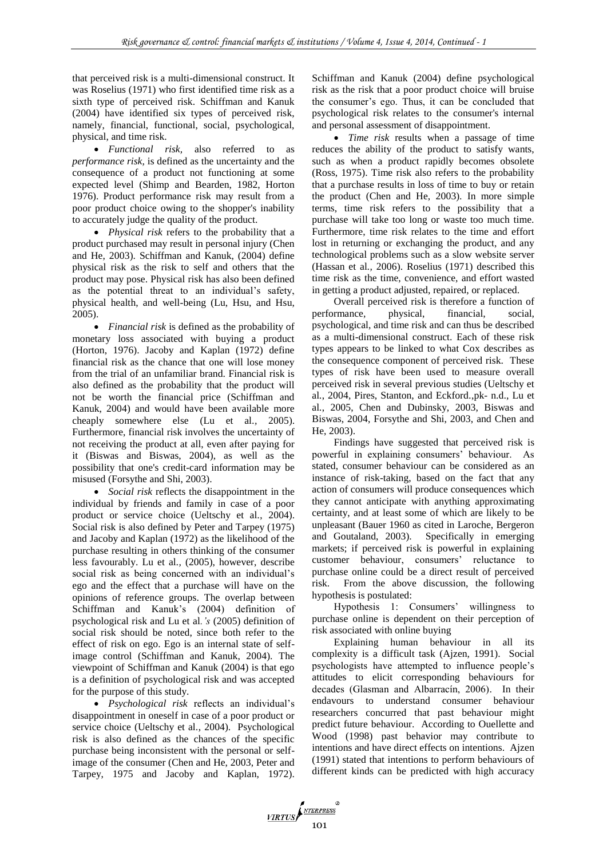that perceived risk is a multi-dimensional construct. It was Roselius (1971) who first identified time risk as a sixth type of perceived risk. Schiffman and Kanuk (2004) have identified six types of perceived risk, namely, financial, functional, social, psychological, physical, and time risk.

 *Functional risk,* also referred to as *performance risk,* is defined as the uncertainty and the consequence of a product not functioning at some expected level (Shimp and Bearden, 1982, Horton 1976). Product performance risk may result from a poor product choice owing to the shopper's inability to accurately judge the quality of the product.

 *Physical risk* refers to the probability that a product purchased may result in personal injury (Chen and He, 2003). Schiffman and Kanuk, (2004) define physical risk as the risk to self and others that the product may pose. Physical risk has also been defined as the potential threat to an individual's safety, physical health, and well-being (Lu, Hsu, and Hsu, 2005).

 *Financial risk* is defined as the probability of monetary loss associated with buying a product (Horton, 1976). Jacoby and Kaplan (1972) define financial risk as the chance that one will lose money from the trial of an unfamiliar brand. Financial risk is also defined as the probability that the product will not be worth the financial price (Schiffman and Kanuk, 2004) and would have been available more cheaply somewhere else (Lu et al*.,* 2005). Furthermore, financial risk involves the uncertainty of not receiving the product at all, even after paying for it (Biswas and Biswas, 2004), as well as the possibility that one's credit-card information may be misused (Forsythe and Shi, 2003).

 *Social risk* reflects the disappointment in the individual by friends and family in case of a poor product or service choice (Ueltschy et al*.*, 2004). Social risk is also defined by Peter and Tarpey (1975) and Jacoby and Kaplan (1972) as the likelihood of the purchase resulting in others thinking of the consumer less favourably. Lu et al*.,* (2005), however, describe social risk as being concerned with an individual's ego and the effect that a purchase will have on the opinions of reference groups. The overlap between Schiffman and Kanuk's (2004) definition of psychological risk and Lu et al*.'s* (2005) definition of social risk should be noted, since both refer to the effect of risk on ego. Ego is an internal state of selfimage control (Schiffman and Kanuk, 2004). The viewpoint of Schiffman and Kanuk (2004) is that ego is a definition of psychological risk and was accepted for the purpose of this study.

 *Psychological risk* reflects an individual's disappointment in oneself in case of a poor product or service choice (Ueltschy et al*.*, 2004). Psychological risk is also defined as the chances of the specific purchase being inconsistent with the personal or selfimage of the consumer (Chen and He, 2003, Peter and Tarpey, 1975 and Jacoby and Kaplan, 1972). Schiffman and Kanuk (2004) define psychological risk as the risk that a poor product choice will bruise the consumer's ego. Thus, it can be concluded that psychological risk relates to the consumer's internal and personal assessment of disappointment.

 *Time risk* results when a passage of time reduces the ability of the product to satisfy wants, such as when a product rapidly becomes obsolete (Ross, 1975). Time risk also refers to the probability that a purchase results in loss of time to buy or retain the product (Chen and He, 2003). In more simple terms, time risk refers to the possibility that a purchase will take too long or waste too much time. Furthermore, time risk relates to the time and effort lost in returning or exchanging the product, and any technological problems such as a slow website server (Hassan et al*.,* 2006). Roselius (1971) described this time risk as the time, convenience, and effort wasted in getting a product adjusted, repaired, or replaced.

Overall perceived risk is therefore a function of performance, physical, financial, social, psychological, and time risk and can thus be described as a multi-dimensional construct. Each of these risk types appears to be linked to what Cox describes as the consequence component of perceived risk. These types of risk have been used to measure overall perceived risk in several previous studies (Ueltschy et al*.*, 2004, Pires, Stanton, and Eckford*.*,pk- n.d., Lu et al*.*, 2005, Chen and Dubinsky, 2003, Biswas and Biswas, 2004, Forsythe and Shi, 2003, and Chen and He, 2003).

Findings have suggested that perceived risk is powerful in explaining consumers' behaviour. As stated, consumer behaviour can be considered as an instance of risk-taking, based on the fact that any action of consumers will produce consequences which they cannot anticipate with anything approximating certainty, and at least some of which are likely to be unpleasant (Bauer 1960 as cited in Laroche, Bergeron and Goutaland, 2003). Specifically in emerging markets; if perceived risk is powerful in explaining customer behaviour, consumers' reluctance to purchase online could be a direct result of perceived risk. From the above discussion, the following hypothesis is postulated:

Hypothesis 1: Consumers' willingness to purchase online is dependent on their perception of risk associated with online buying

Explaining human behaviour in all its complexity is a difficult task (Ajzen, 1991). Social psychologists have attempted to influence people's attitudes to elicit corresponding behaviours for decades (Glasman and Albarracín, 2006). In their endavours to understand consumer behaviour researchers concurred that past behaviour might predict future behaviour. According to Ouellette and Wood (1998) past behavior may contribute to intentions and have direct effects on intentions. Ajzen (1991) stated that intentions to perform behaviours of different kinds can be predicted with high accuracy

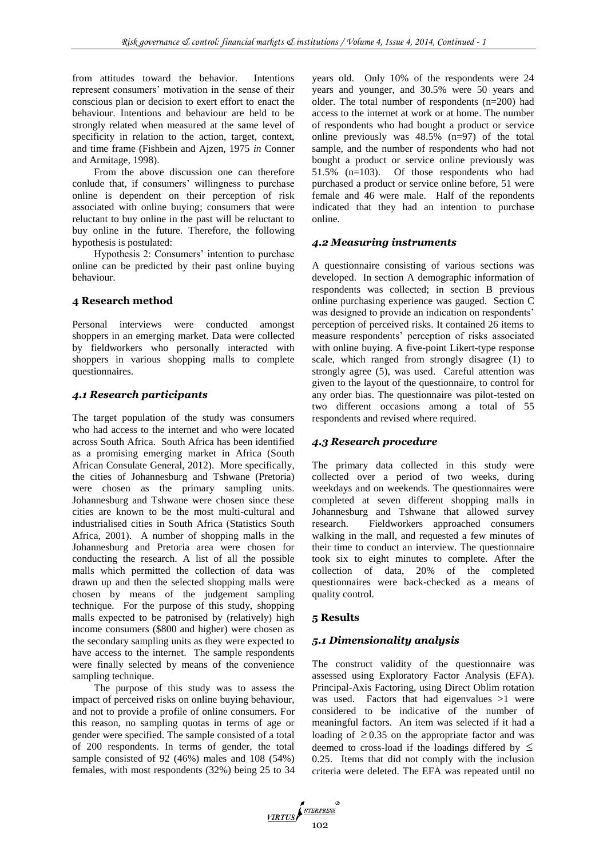from attitudes toward the behavior. Intentions represent consumers' motivation in the sense of their conscious plan or decision to exert effort to enact the behaviour. Intentions and behaviour are held to be strongly related when measured at the same level of specificity in relation to the action, target, context, and time frame (Fishbein and Ajzen, 1975 *in* Conner and Armitage, 1998).

From the above discussion one can therefore conlude that, if consumers' willingness to purchase online is dependent on their perception of risk associated with online buying; consumers that were reluctant to buy online in the past will be reluctant to buy online in the future. Therefore, the following hypothesis is postulated:

Hypothesis 2: Consumers' intention to purchase online can be predicted by their past online buying behaviour.

#### **4 Research method**

Personal interviews were conducted amongst shoppers in an emerging market. Data were collected by fieldworkers who personally interacted with shoppers in various shopping malls to complete questionnaires.

#### *4.1 Research participants*

The target population of the study was consumers who had access to the internet and who were located across South Africa. South Africa has been identified as a promising emerging market in Africa (South African Consulate General, 2012). More specifically, the cities of Johannesburg and Tshwane (Pretoria) were chosen as the primary sampling units. Johannesburg and Tshwane were chosen since these cities are known to be the most multi-cultural and industrialised cities in South Africa (Statistics South Africa, 2001). A number of shopping malls in the Johannesburg and Pretoria area were chosen for conducting the research. A list of all the possible malls which permitted the collection of data was drawn up and then the selected shopping malls were chosen by means of the judgement sampling technique. For the purpose of this study, shopping malls expected to be patronised by (relatively) high income consumers (\$800 and higher) were chosen as the secondary sampling units as they were expected to have access to the internet. The sample respondents were finally selected by means of the convenience sampling technique.

The purpose of this study was to assess the impact of perceived risks on online buying behaviour, and not to provide a profile of online consumers. For this reason, no sampling quotas in terms of age or gender were specified. The sample consisted of a total of 200 respondents. In terms of gender, the total sample consisted of 92 (46%) males and 108 (54%) females, with most respondents (32%) being 25 to 34 years old. Only 10% of the respondents were 24 years and younger, and 30.5% were 50 years and older. The total number of respondents (n=200) had access to the internet at work or at home. The number of respondents who had bought a product or service online previously was 48.5% (n=97) of the total sample, and the number of respondents who had not bought a product or service online previously was 51.5% (n=103). Of those respondents who had purchased a product or service online before, 51 were female and 46 were male. Half of the repondents indicated that they had an intention to purchase online.

# *4.2 Measuring instruments*

A questionnaire consisting of various sections was developed. In section A demographic information of respondents was collected; in section B previous online purchasing experience was gauged. Section C was designed to provide an indication on respondents' perception of perceived risks. It contained 26 items to measure respondents' perception of risks associated with online buying. A five-point Likert-type response scale, which ranged from strongly disagree (1) to strongly agree (5), was used. Careful attention was given to the layout of the questionnaire, to control for any order bias. The questionnaire was pilot-tested on two different occasions among a total of 55 respondents and revised where required.

# *4.3 Research procedure*

The primary data collected in this study were collected over a period of two weeks, during weekdays and on weekends. The questionnaires were completed at seven different shopping malls in Johannesburg and Tshwane that allowed survey research. Fieldworkers approached consumers walking in the mall, and requested a few minutes of their time to conduct an interview. The questionnaire took six to eight minutes to complete. After the collection of data, 20% of the completed questionnaires were back-checked as a means of quality control.

# **5 Results**

# *5.1 Dimensionality analysis*

The construct validity of the questionnaire was assessed using Exploratory Factor Analysis (EFA). Principal-Axis Factoring, using Direct Oblim rotation was used. Factors that had eigenvalues >1 were considered to be indicative of the number of meaningful factors. An item was selected if it had a loading of  $\geq$  0.35 on the appropriate factor and was deemed to cross-load if the loadings differed by  $\leq$ 0.25. Items that did not comply with the inclusion criteria were deleted. The EFA was repeated until no

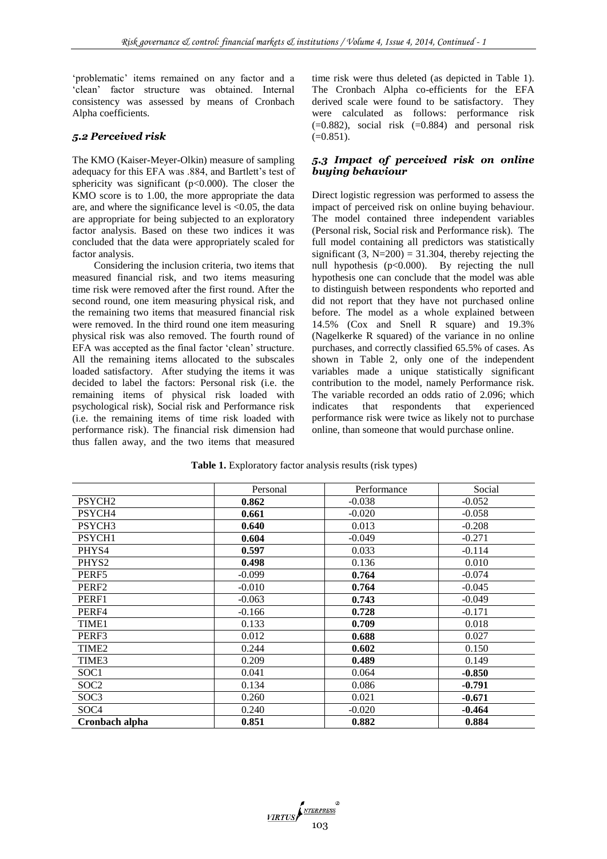'problematic' items remained on any factor and a 'clean' factor structure was obtained. Internal consistency was assessed by means of Cronbach Alpha coefficients.

#### *5.2 Perceived risk*

The KMO (Kaiser-Meyer-Olkin) measure of sampling adequacy for this EFA was .884, and Bartlett's test of sphericity was significant ( $p<0.000$ ). The closer the KMO score is to 1.00, the more appropriate the data are, and where the significance level is <0.05, the data are appropriate for being subjected to an exploratory factor analysis. Based on these two indices it was concluded that the data were appropriately scaled for factor analysis.

Considering the inclusion criteria, two items that measured financial risk, and two items measuring time risk were removed after the first round. After the second round, one item measuring physical risk, and the remaining two items that measured financial risk were removed. In the third round one item measuring physical risk was also removed. The fourth round of EFA was accepted as the final factor 'clean' structure. All the remaining items allocated to the subscales loaded satisfactory. After studying the items it was decided to label the factors: Personal risk (i.e. the remaining items of physical risk loaded with psychological risk), Social risk and Performance risk (i.e. the remaining items of time risk loaded with performance risk). The financial risk dimension had thus fallen away, and the two items that measured time risk were thus deleted (as depicted in Table 1). The Cronbach Alpha co-efficients for the EFA derived scale were found to be satisfactory. They were calculated as follows: performance risk  $(=0.882)$ , social risk  $(=0.884)$  and personal risk  $(=0.851)$ .

#### *5.3 Impact of perceived risk on online buying behaviour*

Direct logistic regression was performed to assess the impact of perceived risk on online buying behaviour. The model contained three independent variables (Personal risk, Social risk and Performance risk). The full model containing all predictors was statistically significant  $(3, N=200) = 31.304$ , thereby rejecting the null hypothesis  $(p<0.000)$ . By rejecting the null hypothesis one can conclude that the model was able to distinguish between respondents who reported and did not report that they have not purchased online before. The model as a whole explained between 14.5% (Cox and Snell R square) and 19.3% (Nagelkerke R squared) of the variance in no online purchases, and correctly classified 65.5% of cases. As shown in Table 2, only one of the independent variables made a unique statistically significant contribution to the model, namely Performance risk. The variable recorded an odds ratio of 2.096; which indicates that respondents that experienced performance risk were twice as likely not to purchase online, than someone that would purchase online.

|                    | Personal | Performance | Social   |
|--------------------|----------|-------------|----------|
| PSYCH2             | 0.862    | $-0.038$    | $-0.052$ |
| PSYCH4             | 0.661    | $-0.020$    | $-0.058$ |
| PSYCH <sub>3</sub> | 0.640    | 0.013       | $-0.208$ |
| PSYCH1             | 0.604    | $-0.049$    | $-0.271$ |
| PHYS4              | 0.597    | 0.033       | $-0.114$ |
| PHYS <sub>2</sub>  | 0.498    | 0.136       | 0.010    |
| PERF5              | $-0.099$ | 0.764       | $-0.074$ |
| PERF <sub>2</sub>  | $-0.010$ | 0.764       | $-0.045$ |
| PERF1              | $-0.063$ | 0.743       | $-0.049$ |
| PERF4              | $-0.166$ | 0.728       | $-0.171$ |
| TIME1              | 0.133    | 0.709       | 0.018    |
| PERF3              | 0.012    | 0.688       | 0.027    |
| TIME <sub>2</sub>  | 0.244    | 0.602       | 0.150    |
| TIME3              | 0.209    | 0.489       | 0.149    |
| SOC1               | 0.041    | 0.064       | $-0.850$ |
| SOC <sub>2</sub>   | 0.134    | 0.086       | $-0.791$ |
| SOC3               | 0.260    | 0.021       | $-0.671$ |
| SOC <sub>4</sub>   | 0.240    | $-0.020$    | $-0.464$ |
| Cronbach alpha     | 0.851    | 0.882       | 0.884    |

**Table 1.** Exploratory factor analysis results (risk types)

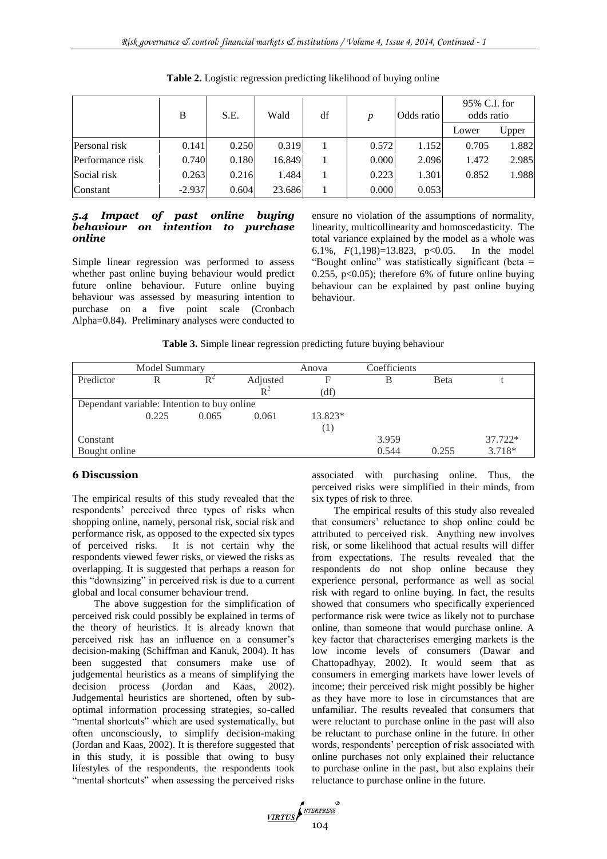|                  | B        | S.E.  | Wald   | df | $\boldsymbol{p}$ | Odds ratio | 95% C.I. for<br>odds ratio |       |
|------------------|----------|-------|--------|----|------------------|------------|----------------------------|-------|
|                  |          |       |        |    |                  |            | Lower                      | Upper |
| Personal risk    | 0.141    | 0.250 | 0.319  |    | 0.572            | 1.152      | 0.705                      | 1.882 |
| Performance risk | 0.740    | 0.180 | 16.849 |    | 0.000            | 2.096      | 1.472                      | 2.985 |
| Social risk      | 0.263    | 0.216 | 1.484  |    | 0.223            | 1.301      | 0.852                      | 1.988 |
| Constant         | $-2.937$ | 0.604 | 23.686 |    | 0.000            | 0.053      |                            |       |

**Table 2.** Logistic regression predicting likelihood of buying online

#### *5.4 Impact of past online buying behaviour on intention to purchase online*

Simple linear regression was performed to assess whether past online buying behaviour would predict future online behaviour. Future online buying behaviour was assessed by measuring intention to purchase on a five point scale (Cronbach Alpha=0.84). Preliminary analyses were conducted to ensure no violation of the assumptions of normality, linearity, multicollinearity and homoscedasticity. The total variance explained by the model as a whole was 6.1%, *F*(1,198)=13.823, p<0.05. In the model "Bought online" was statistically significant (beta = 0.255, p<0.05); therefore 6% of future online buying behaviour can be explained by past online buying behaviour.

# **Table 3.** Simple linear regression predicting future buying behaviour

| Model Summary                               |       | Anova | Coefficients |         |       |       |         |  |
|---------------------------------------------|-------|-------|--------------|---------|-------|-------|---------|--|
| Predictor                                   |       | $R^2$ | Adjusted     | F       |       | Beta  |         |  |
|                                             |       |       | $R^2$        | (df)    |       |       |         |  |
| Dependant variable: Intention to buy online |       |       |              |         |       |       |         |  |
|                                             | 0.225 | 0.065 | 0.061        | 13.823* |       |       |         |  |
|                                             |       |       |              | (1)     |       |       |         |  |
| Constant                                    |       |       |              |         | 3.959 |       | 37.722* |  |
| Bought online                               |       |       |              |         | 0.544 | 0.255 | 3.718*  |  |

# **6 Discussion**

The empirical results of this study revealed that the respondents' perceived three types of risks when shopping online, namely, personal risk, social risk and performance risk, as opposed to the expected six types of perceived risks. It is not certain why the respondents viewed fewer risks, or viewed the risks as overlapping. It is suggested that perhaps a reason for this "downsizing" in perceived risk is due to a current global and local consumer behaviour trend.

The above suggestion for the simplification of perceived risk could possibly be explained in terms of the theory of heuristics. It is already known that perceived risk has an influence on a consumer's decision-making (Schiffman and Kanuk, 2004). It has been suggested that consumers make use of judgemental heuristics as a means of simplifying the decision process (Jordan and Kaas, 2002). Judgemental heuristics are shortened, often by suboptimal information processing strategies, so-called "mental shortcuts" which are used systematically, but often unconsciously, to simplify decision-making (Jordan and Kaas, 2002). It is therefore suggested that in this study, it is possible that owing to busy lifestyles of the respondents, the respondents took "mental shortcuts" when assessing the perceived risks associated with purchasing online. Thus, the perceived risks were simplified in their minds, from six types of risk to three.

The empirical results of this study also revealed that consumers' reluctance to shop online could be attributed to perceived risk. Anything new involves risk, or some likelihood that actual results will differ from expectations. The results revealed that the respondents do not shop online because they experience personal, performance as well as social risk with regard to online buying. In fact, the results showed that consumers who specifically experienced performance risk were twice as likely not to purchase online, than someone that would purchase online. A key factor that characterises emerging markets is the low income levels of consumers (Dawar and Chattopadhyay, 2002). It would seem that as consumers in emerging markets have lower levels of income; their perceived risk might possibly be higher as they have more to lose in circumstances that are unfamiliar. The results revealed that consumers that were reluctant to purchase online in the past will also be reluctant to purchase online in the future. In other words, respondents' perception of risk associated with online purchases not only explained their reluctance to purchase online in the past, but also explains their reluctance to purchase online in the future.

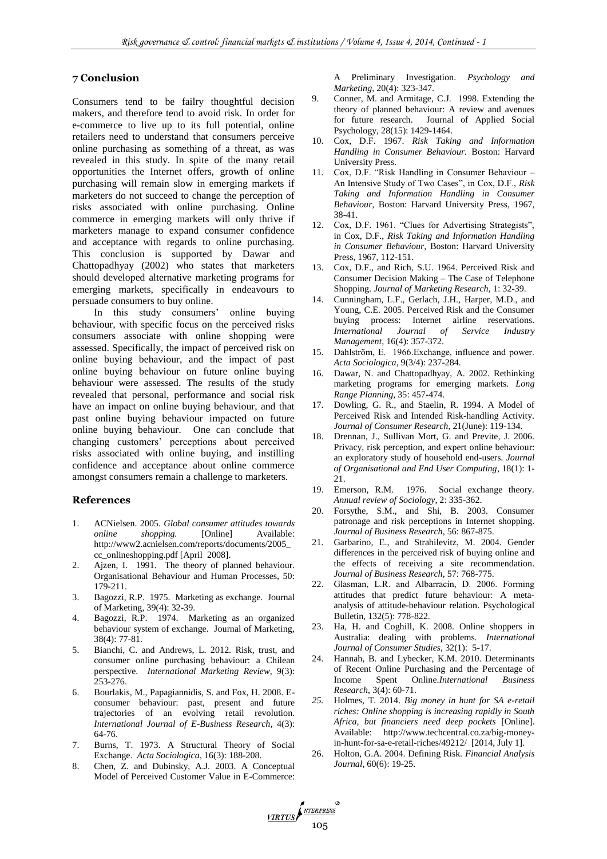# **7 Conclusion**

Consumers tend to be failry thoughtful decision makers, and therefore tend to avoid risk. In order for e-commerce to live up to its full potential, online retailers need to understand that consumers perceive online purchasing as something of a threat, as was revealed in this study. In spite of the many retail opportunities the Internet offers, growth of online purchasing will remain slow in emerging markets if marketers do not succeed to change the perception of risks associated with online purchasing. Online commerce in emerging markets will only thrive if marketers manage to expand consumer confidence and acceptance with regards to online purchasing. This conclusion is supported by Dawar and Chattopadhyay (2002) who states that marketers should developed alternative marketing programs for emerging markets, specifically in endeavours to persuade consumers to buy online.

In this study consumers' online buying behaviour, with specific focus on the perceived risks consumers associate with online shopping were assessed. Specifically, the impact of perceived risk on online buying behaviour, and the impact of past online buying behaviour on future online buying behaviour were assessed. The results of the study revealed that personal, performance and social risk have an impact on online buying behaviour, and that past online buying behaviour impacted on future online buying behaviour. One can conclude that changing customers' perceptions about perceived risks associated with online buying, and instilling confidence and acceptance about online commerce amongst consumers remain a challenge to marketers.

#### **References**

- 1. ACNielsen. 2005. *Global consumer attitudes towards online shopping*. [Online] Available: http://www2.acnielsen.com/reports/documents/2005\_ cc\_onlineshopping.pdf [April 2008].
- 2. Ajzen, I. 1991. The theory of planned behaviour. Organisational Behaviour and Human Processes, 50: 179-211.
- 3. Bagozzi, R.P. 1975. Marketing as exchange. Journal of Marketing, 39(4): 32-39.
- 4. Bagozzi, R.P. 1974. Marketing as an organized behaviour system of exchange. Journal of Marketing, 38(4): 77-81.
- 5. Bianchi, C. and Andrews, L. 2012. Risk, trust, and consumer online purchasing behaviour: a Chilean perspective. *International Marketing Review*, 9(3): 253-276.
- 6. Bourlakis, M., Papagiannidis, S. and Fox, H. 2008. Econsumer behaviour: past, present and future trajectories of an evolving retail revolution. *International Journal of E-Business Research*, 4(3): 64-76.
- 7. Burns, T. 1973. A Structural Theory of Social Exchange. *Acta Sociologica*, 16(3): 188-208.
- 8. Chen, Z. and Dubinsky, A.J. 2003. A Conceptual Model of Perceived Customer Value in E-Commerce:

A Preliminary Investigation. *Psychology and Marketing*, 20(4): 323-347.

- 9. Conner, M. and Armitage, C.J. 1998. Extending the theory of planned behaviour: A review and avenues for future research. Journal of Applied Social Psychology, 28(15): 1429-1464.
- 10. Cox, D.F. 1967. *Risk Taking and Information Handling in Consumer Behaviour.* Boston: Harvard University Press.
- 11. Cox, D.F. "Risk Handling in Consumer Behaviour An Intensive Study of Two Cases", in Cox, D.F., *Risk Taking and Information Handling in Consumer Behaviour,* Boston: Harvard University Press, 1967, 38-41.
- 12. Cox, D.F. 1961. "Clues for Advertising Strategists", in Cox, D.F., *Risk Taking and Information Handling in Consumer Behaviour,* Boston: Harvard University Press, 1967, 112-151.
- 13. Cox, D.F., and Rich, S.U. 1964. Perceived Risk and Consumer Decision Making – The Case of Telephone Shopping. *Journal of Marketing Research,* 1: 32-39.
- 14. Cunningham, L.F., Gerlach, J.H., Harper, M.D., and Young, C.E. 2005. Perceived Risk and the Consumer buying process: Internet airline reservations. *International Journal of Service Industry Management,* 16(4): 357-372.
- 15. Dahlström, E. 1966.Exchange, influence and power. *Acta Sociologica*, 9(3/4): 237-284.
- 16. Dawar, N. and Chattopadhyay, A. 2002. Rethinking marketing programs for emerging markets. *Long Range Planning*, 35: 457-474.
- 17. Dowling, G. R., and Staelin, R. 1994. A Model of Perceived Risk and Intended Risk-handling Activity. *Journal of Consumer Research*, 21(June): 119-134.
- 18. Drennan, J., Sullivan Mort, G. and Previte, J. 2006. Privacy, risk perception, and expert online behaviour: an exploratory study of household end-users. *Journal of Organisational and End User Computing*, 18(1): 1- 21.
- 19. Emerson, R.M. 1976. Social exchange theory. *Annual review of Sociology*, 2: 335-362.
- 20. Forsythe, S.M., and Shi, B. 2003. Consumer patronage and risk perceptions in Internet shopping. *Journal of Business Research*, 56: 867-875.
- 21. Garbarino, E., and Strahilevitz, M. 2004. Gender differences in the perceived risk of buying online and the effects of receiving a site recommendation. *Journal of Business Research,* 57: 768-775.
- 22. Glasman, L.R. and Albarracín, D. 2006. Forming attitudes that predict future behaviour: A metaanalysis of attitude-behaviour relation. Psychological Bulletin, 132(5): 778-822.
- 23. Ha, H. and Coghill, K. 2008. Online shoppers in Australia: dealing with problems. *International Journal of Consumer Studies*, 32(1): 5-17.
- 24. Hannah, B. and Lybecker, K.M. 2010. Determinants of Recent Online Purchasing and the Percentage of Income Spent Online.*International Business Research*, 3(4): 60-71.
- *25.* Holmes, T. 2014. *Big money in hunt for SA e-retail riches: Online shopping is increasing rapidly in South Africa, but financiers need deep pockets* [Online]. Available: http://www.techcentral.co.za/big-moneyin-hunt-for-sa-e-retail-riches/49212/ [2014, July 1].
- 26. Holton, G.A. 2004. Defining Risk. *Financial Analysis Journal*, 60(6): 19-25.

VIRTUS